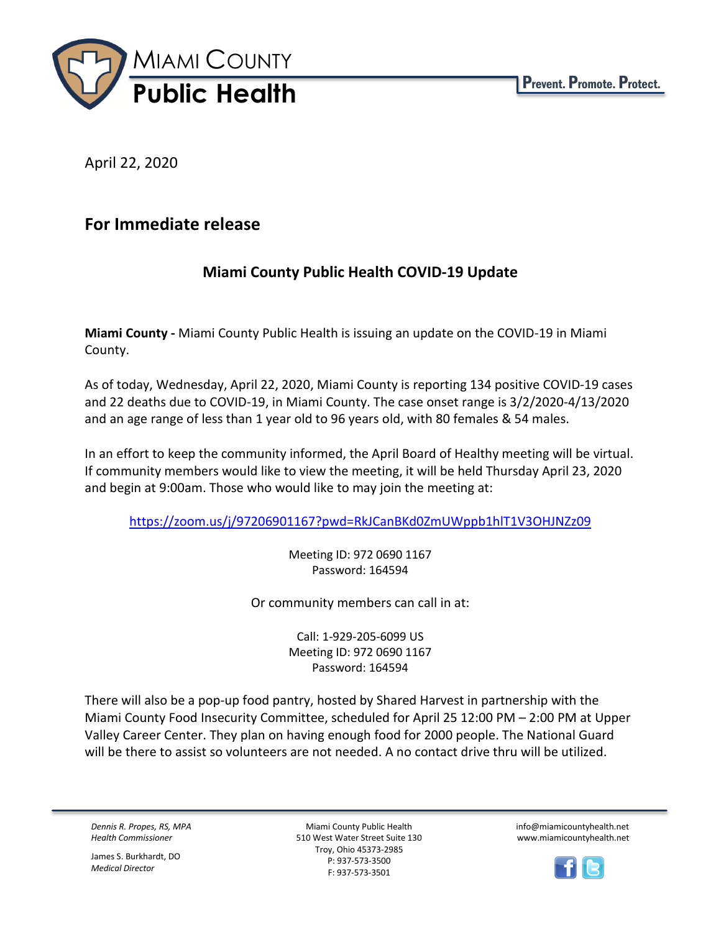



April 22, 2020

## **For Immediate release**

## **Miami County Public Health COVID-19 Update**

**Miami County -** Miami County Public Health is issuing an update on the COVID-19 in Miami County.

As of today, Wednesday, April 22, 2020, Miami County is reporting 134 positive COVID-19 cases and 22 deaths due to COVID-19, in Miami County. The case onset range is 3/2/2020-4/13/2020 and an age range of less than 1 year old to 96 years old, with 80 females & 54 males.

In an effort to keep the community informed, the April Board of Healthy meeting will be virtual. If community members would like to view the meeting, it will be held Thursday April 23, 2020 and begin at 9:00am. Those who would like to may join the meeting at:

<https://zoom.us/j/97206901167?pwd=RkJCanBKd0ZmUWppb1hlT1V3OHJNZz09>

Meeting ID: 972 0690 1167 Password: 164594

Or community members can call in at:

Call: 1-929-205-6099 US Meeting ID: 972 0690 1167 Password: 164594

There will also be a pop-up food pantry, hosted by Shared Harvest in partnership with the Miami County Food Insecurity Committee, scheduled for April 25 12:00 PM – 2:00 PM at Upper Valley Career Center. They plan on having enough food for 2000 people. The National Guard will be there to assist so volunteers are not needed. A no contact drive thru will be utilized.

*Dennis R. Propes, RS, MPA Health Commissioner*

James S. Burkhardt, DO *Medical Director*

Miami County Public Health 510 West Water Street Suite 130 Troy, Ohio 45373-2985 P: 937-573-3500 F: 937-573-3501

info@miamicountyhealth.net www.miamicountyhealth.net